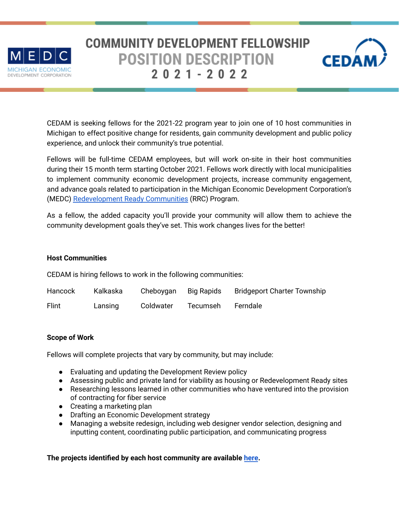

# **COMMUNITY DEVELOPMENT FELLOWSHIP POSITION DESCRIPTION**  $2021 - 2022$



CEDAM is seeking fellows for the 2021-22 program year to join one of 10 host communities in Michigan to effect positive change for residents, gain community development and public policy experience, and unlock their community's true potential.

Fellows will be full-time CEDAM employees, but will work on-site in their host communities during their 15 month term starting October 2021. Fellows work directly with local municipalities to implement community economic development projects, increase community engagement, and advance goals related to participation in the Michigan Economic Development Corporation's (MEDC) [Redevelopment](https://www.miplace.org/programs/redevelopment-ready-communities/) Ready Communities (RRC) Program.

As a fellow, the added capacity you'll provide your community will allow them to achieve the community development goals they've set. This work changes lives for the better!

#### **Host Communities**

CEDAM is hiring fellows to work in the following communities:

| Hancock | Kalkaska | Cheboygan | <b>Big Rapids</b> | <b>Bridgeport Charter Township</b> |
|---------|----------|-----------|-------------------|------------------------------------|
| Flint   | Lansing  | Coldwater | Tecumseh          | Ferndale                           |

#### **Scope of Work**

Fellows will complete projects that vary by community, but may include:

- Evaluating and updating the Development Review policy
- Assessing public and private land for viability as housing or Redevelopment Ready sites
- Researching lessons learned in other communities who have ventured into the provision of contracting for fiber service
- Creating a marketing plan
- Drafting an Economic Development strategy
- Managing a website redesign, including web designer vendor selection, designing and inputting content, coordinating public participation, and communicating progress

# **The projects identified by each host community are available [here](http://cedamichigan.org/wp-content/files/Community-Info-for-Fellow-Recruitment.docx.pdf).**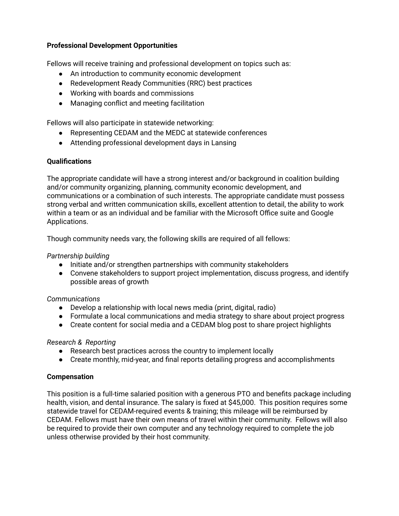# **Professional Development Opportunities**

Fellows will receive training and professional development on topics such as:

- An introduction to community economic development
- Redevelopment Ready Communities (RRC) best practices
- Working with boards and commissions
- Managing conflict and meeting facilitation

Fellows will also participate in statewide networking:

- Representing CEDAM and the MEDC at statewide conferences
- Attending professional development days in Lansing

## **Qualifications**

The appropriate candidate will have a strong interest and/or background in coalition building and/or community organizing, planning, community economic development, and communications or a combination of such interests. The appropriate candidate must possess strong verbal and written communication skills, excellent attention to detail, the ability to work within a team or as an individual and be familiar with the Microsoft Office suite and Google Applications.

Though community needs vary, the following skills are required of all fellows:

#### *Partnership building*

- Initiate and/or strengthen partnerships with community stakeholders
- Convene stakeholders to support project implementation, discuss progress, and identify possible areas of growth

#### *Communications*

- Develop a relationship with local news media (print, digital, radio)
- Formulate a local communications and media strategy to share about project progress
- Create content for social media and a CEDAM blog post to share project highlights

#### *Research & Reporting*

- Research best practices across the country to implement locally
- Create monthly, mid-year, and final reports detailing progress and accomplishments

#### **Compensation**

This position is a full-time salaried position with a generous PTO and benefits package including health, vision, and dental insurance. The salary is fixed at \$45,000. This position requires some statewide travel for CEDAM-required events & training; this mileage will be reimbursed by CEDAM. Fellows must have their own means of travel within their community. Fellows will also be required to provide their own computer and any technology required to complete the job unless otherwise provided by their host community.